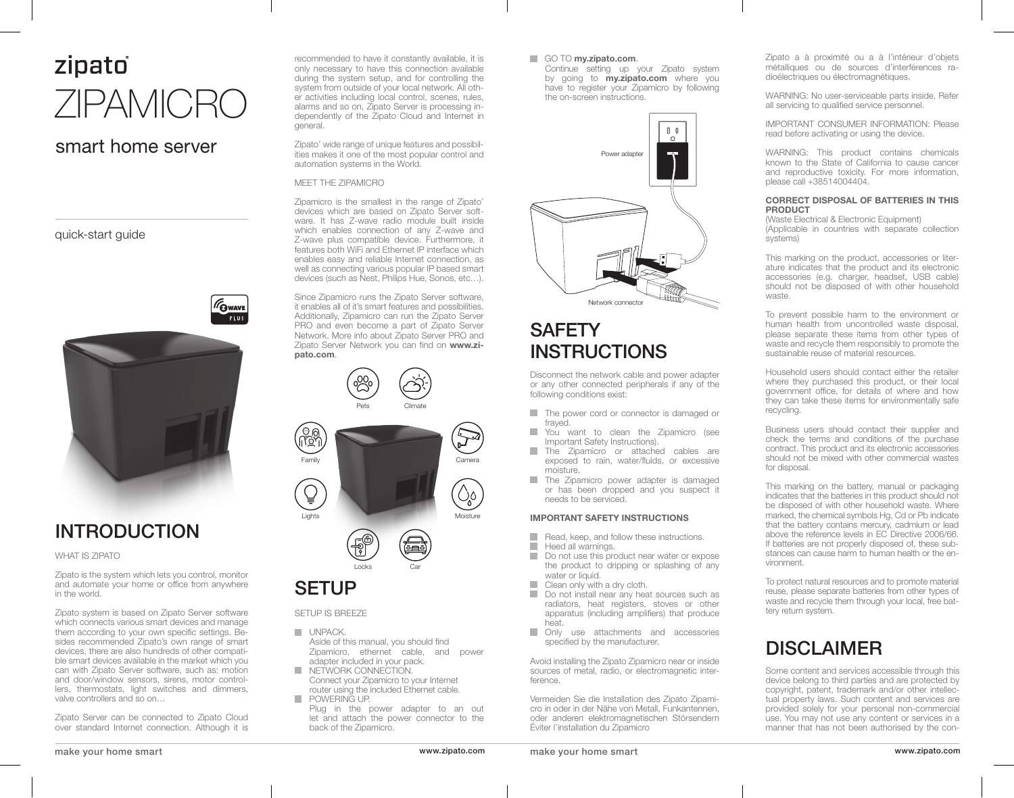# zipato ZIPAMICRO

### smart home server

quick-start guide



# INTRODUCTION

WHAT IS ZIPATO

Zipato is the system which lets you control, monitor and automate your home or office from anywhere in the world.

Zipato system is based on Zipato Server software which connects various smart devices and manage them according to your own specific settings. Besides recommended Zipato's own range of smart devices, there are also hundreds of other compatible smart devices available in the market which you can with Zipato Server software, such as: motion and door/window sensors, sirens, motor controllers, thermostats, light switches and dimmers, valve controllers and so on…

Zipato Server can be connected to Zipato Cloud over standard Internet connection. Although it is recommended to have it constantly available, it is only necessary to have this connection available during the system setup, and for controlling the system from outside of your local network. All other activities including local control, scenes, rules, alarms and so on, Zipato Server is processing independently of the Zipato Cloud and Internet in general.

Zipato' wide range of unique features and possibilities makes it one of the most popular control and automation systems in the World.

### MEET THE ZIPAMICRO

Zipamicro is the smallest in the range of Zipato' devices which are based on Zipato Server software. It has Z-wave radio module built inside which enables connection of any Z-wave and Z-wave plus compatible device. Furthermore, it features both WiFi and Ethernet IP interface which enables easy and reliable Internet connection, as well as connecting various popular IP based smart devices (such as Nest, Philips Hue, Sonos, etc…).

Since Zipamicro runs the Zipato Server software, it enables all of it's smart features and possibilities. Additionally, Zipamicro can run the Zipato Server PRO and even become a part of Zipato Server Network. More info about Zipato Server PRO and Zipato Server Network you can find on **www.zipato.com**.





## **SETUP**

SETUP IS BREEZE

- **UNPACK.** Aside of this manual, you should find Zipamicro, ethernet cable, and power adapter included in your pack.
- **COL** NETWORK CONNECTION. Connect your Zipamicro to your Internet router using the included Ethernet cable. T. POWERING UP.
- Plug in the power adapter to an out let and attach the power connector to the back of the Zipamicro.

#### GO TO **my.zipato.com**.

Continue setting up your Zipato system by going to **my.zipato.com** where you have to register your Zipamicro by following the on-screen instructions.



# **SAFETY** INSTRUCTIONS

Disconnect the network cable and power adapter or any other connected peripherals if any of the following conditions exist:

- п The power cord or connector is damaged or frayed.
- H You want to clean the Zipamicro (see Important Safety Instructions).
- **COL** The Zipamicro or attached cables are exposed to rain, water/fluids, or excessive moisture.
- m. The Zipamicro power adapter is damaged or has been dropped and you suspect it needs to be serviced.

### **IMPORTANT SAFETY INSTRUCTIONS**

- m. Read, keep, and follow these instructions.
- **I** Heed all warnings.
- П Do not use this product near water or expose the product to dripping or splashing of any water or liquid.
- $\overline{\phantom{a}}$ Clean only with a dry cloth.
- $\mathcal{L}_{\mathcal{A}}$ Do not install near any heat sources such as radiators, heat registers, stoves or other apparatus (including amplifiers) that produce heat.
- **Only use attachments and accessories** specified by the manufacturer.

Avoid installing the Zipato Zipamicro near or inside sources of metal, radio, or electromagnetic interference.

Vermeiden Sie die Installation des Zipato Zipamicro in oder in der Nähe von Metall, Funkantennen, oder anderen elektromagnetischen Störsendern Éviter l'installation du Zipamicro

make your home smart www.zipato.com make your home smart www.zipato.com

Zipato a à proximité ou a à l'intérieur d'objets métalliques ou de sources d'interférences radioélectriques ou électromagnétiques.

WARNING: No user-serviceable parts inside. Refer all servicing to qualified service personnel.

IMPORTANT CONSUMER INFORMATION: Please read before activating or using the device.

WARNING: This product contains chemicals known to the State of California to cause cancer and reproductive toxicity. For more information, please call +38514004404.

#### **CORRECT DISPOSAL OF BATTERIES IN THIS PRODUCT**

(Waste Electrical & Electronic Equipment) (Applicable in countries with separate collection systems)

This marking on the product, accessories or literature indicates that the product and its electronic accessories (e.g. charger, headset, USB cable) should not be disposed of with other household waste.

To prevent possible harm to the environment or human health from uncontrolled waste disposal, please separate these items from other types of waste and recycle them responsibly to promote the sustainable reuse of material resources.

Household users should contact either the retailer where they purchased this product, or their local government office, for details of where and how they can take these items for environmentally safe recycling.

Business users should contact their supplier and check the terms and conditions of the purchase contract. This product and its electronic accessories should not be mixed with other commercial wastes for disposal.

This marking on the battery, manual or packaging indicates that the batteries in this product should not be disposed of with other household waste. Where marked, the chemical symbols Hg, Cd or Pb indicate that the battery contains mercury, cadmium or lead above the reference levels in EC Directive 2006/66. If batteries are not properly disposed of, these substances can cause harm to human health or the environment.

To protect natural resources and to promote material reuse, please separate batteries from other types of waste and recycle them through your local, free battery return system.

## DISCLAIMER

Some content and services accessible through this device belong to third parties and are protected by copyright, patent, trademark and/or other intellectual property laws. Such content and services are provided solely for your personal non-commercial use. You may not use any content or services in a manner that has not been authorised by the con-